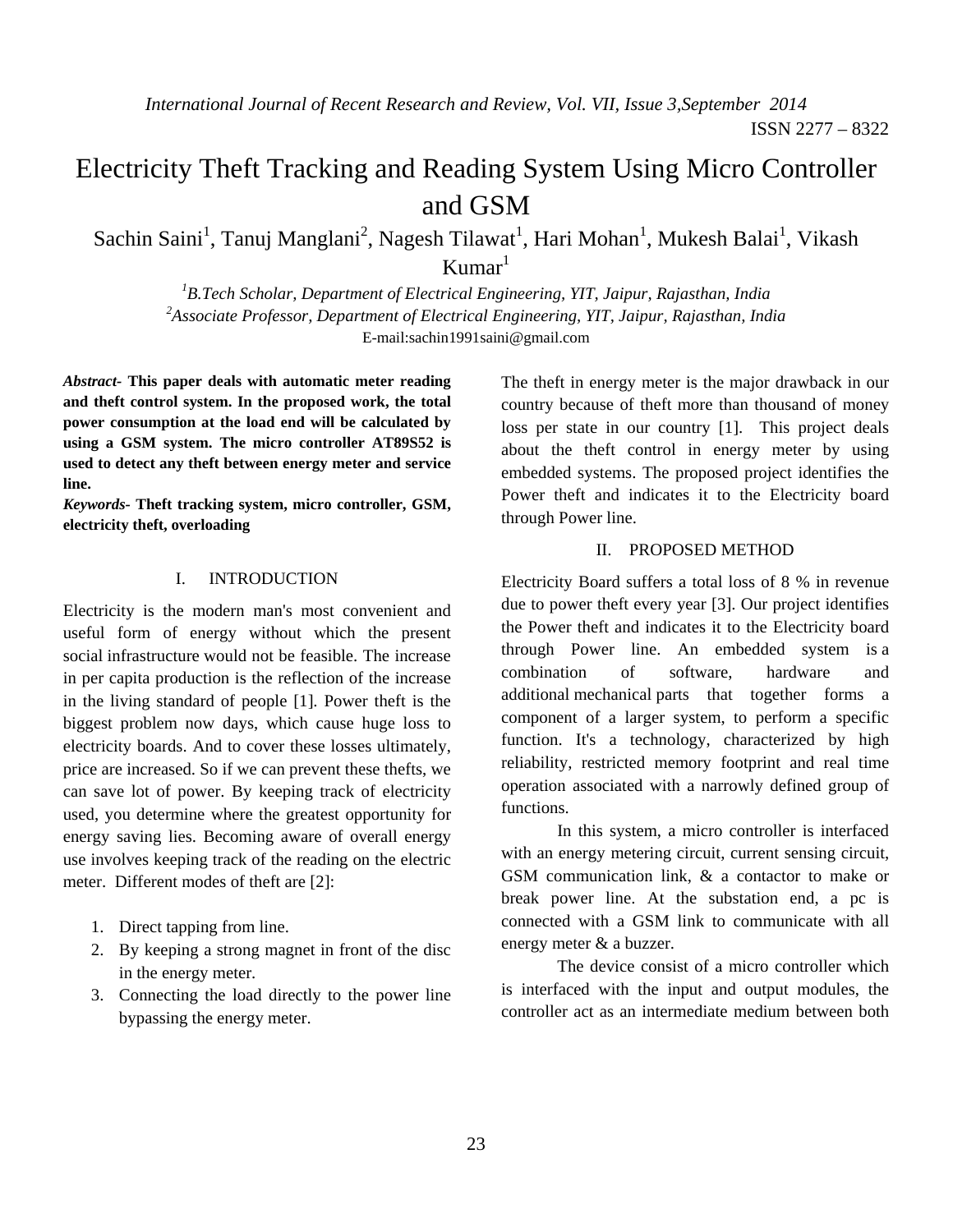# Electricity Theft Tracking and Reading System Using Micro Controller and GSM

Sachin Saini<sup>1</sup>, Tanuj Manglani<sup>2</sup>, Nagesh Tilawat<sup>1</sup>, Hari Mohan<sup>1</sup>, Mukesh Balai<sup>1</sup>, Vikash  $Kumar<sup>1</sup>$ 

*1 B.Tech Scholar, Department of Electrical Engineering, YIT, Jaipur, Rajasthan, India 2 Associate Professor, Department of Electrical Engineering, YIT, Jaipur, Rajasthan, India*  E-mail:sachin1991saini@gmail.com

*Abstract-* **This paper deals with automatic meter reading and theft control system. In the proposed work, the total power consumption at the load end will be calculated by using a GSM system. The micro controller AT89S52 is used to detect any theft between energy meter and service line.** 

*Keywords-* **Theft tracking system, micro controller, GSM, electricity theft, overloading** 

### I. INTRODUCTION

Electricity is the modern man's most convenient and useful form of energy without which the present social infrastructure would not be feasible. The increase in per capita production is the reflection of the increase in the living standard of people [1]. Power theft is the biggest problem now days, which cause huge loss to electricity boards. And to cover these losses ultimately, price are increased. So if we can prevent these thefts, we can save lot of power. By keeping track of electricity used, you determine where the greatest opportunity for energy saving lies. Becoming aware of overall energy use involves keeping track of the reading on the electric meter. Different modes of theft are [2]:

- 1. Direct tapping from line.
- 2. By keeping a strong magnet in front of the disc in the energy meter.
- 3. Connecting the load directly to the power line bypassing the energy meter.

The theft in energy meter is the major drawback in our country because of theft more than thousand of money loss per state in our country [1]. This project deals about the theft control in energy meter by using embedded systems. The proposed project identifies the Power theft and indicates it to the Electricity board through Power line.

# II. PROPOSED METHOD

Electricity Board suffers a total loss of 8 % in revenue due to power theft every year [3]. Our project identifies the Power theft and indicates it to the Electricity board through Power line. An embedded system is a combination of software, hardware and additional mechanical parts that together forms a component of a larger system, to perform a specific function. It's a technology, characterized by high reliability, restricted memory footprint and real time operation associated with a narrowly defined group of functions.

In this system, a micro controller is interfaced with an energy metering circuit, current sensing circuit, GSM communication link, & a contactor to make or break power line. At the substation end, a pc is connected with a GSM link to communicate with all energy meter & a buzzer.

The device consist of a micro controller which is interfaced with the input and output modules, the controller act as an intermediate medium between both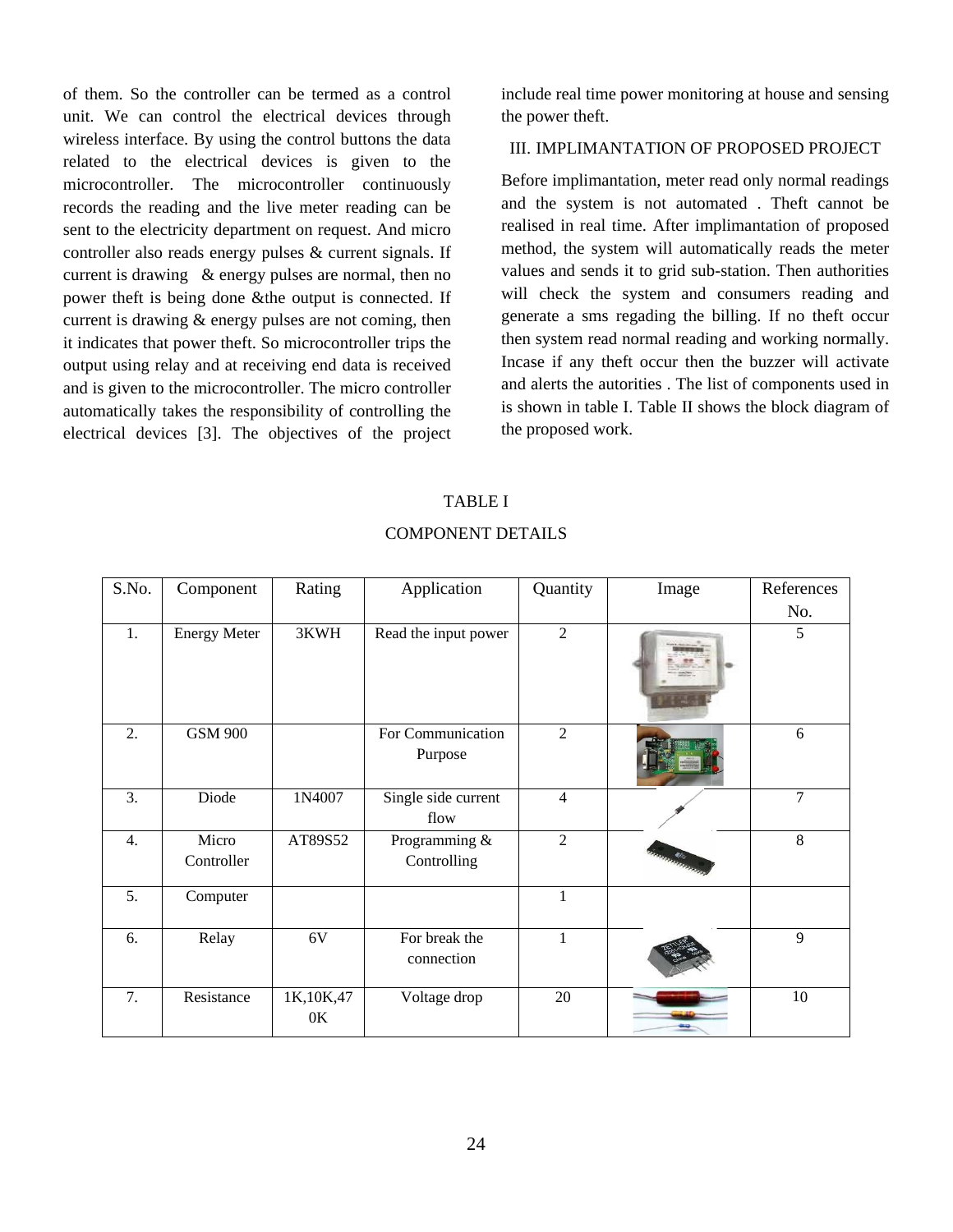of them. So the controller can be termed as a control unit. We can control the electrical devices through wireless interface. By using the control buttons the data related to the electrical devices is given to the microcontroller. The microcontroller continuously records the reading and the live meter reading can be sent to the electricity department on request. And micro controller also reads energy pulses  $\&$  current signals. If current is drawing  $\&$  energy pulses are normal, then no power theft is being done & the output is connected. If current is drawing  $\&$  energy pulses are not coming, then it indicates that power theft. So microcontroller trips the output using relay and at receiving end data is received and is given to the microcontroller. The micro controller automatically takes the responsibility of controlling the electrical devices [3]. The objectives of the project

include real time power monitoring at house and sensing the power theft.

### III. IMPLIMANTATION OF PROPOSED PROJECT

Before implimantation, meter read only normal readings and the system is not automated. Theft cannot be realised in real time. After implimantation of proposed method, the system will automatically reads the meter values and sends it to grid sub-station. Then authorities will check the system and consumers reading and generate a sms regading the billing. If no theft occur then system read normal reading and working normally. Incase if any theft occur then the buzzer will activate and alerts the autorities. The list of components used in is shown in table I. Table II shows the block diagram of the proposed work.

#### **TABLE I**

| S.No. | Component           | Rating            | Application                  | Quantity       | Image         | References |
|-------|---------------------|-------------------|------------------------------|----------------|---------------|------------|
|       |                     |                   |                              |                |               | No.        |
| 1.    | <b>Energy Meter</b> | 3KWH              | Read the input power         | $\overline{2}$ |               | 5          |
| 2.    | <b>GSM 900</b>      |                   | For Communication<br>Purpose | $\overline{2}$ |               | 6          |
| 3.    | Diode               | 1N4007            | Single side current<br>flow  | $\overline{4}$ |               | 7          |
| 4.    | Micro<br>Controller | AT89S52           | Programming &<br>Controlling | $\overline{2}$ | <b>Corner</b> | 8          |
| 5.    | Computer            |                   |                              | $\mathbf{1}$   |               |            |
| 6.    | Relay               | 6V                | For break the<br>connection  | $\mathbf{1}$   |               | 9          |
| 7.    | Resistance          | 1K, 10K, 47<br>0K | Voltage drop                 | 20             |               | 10         |

### **COMPONENT DETAILS**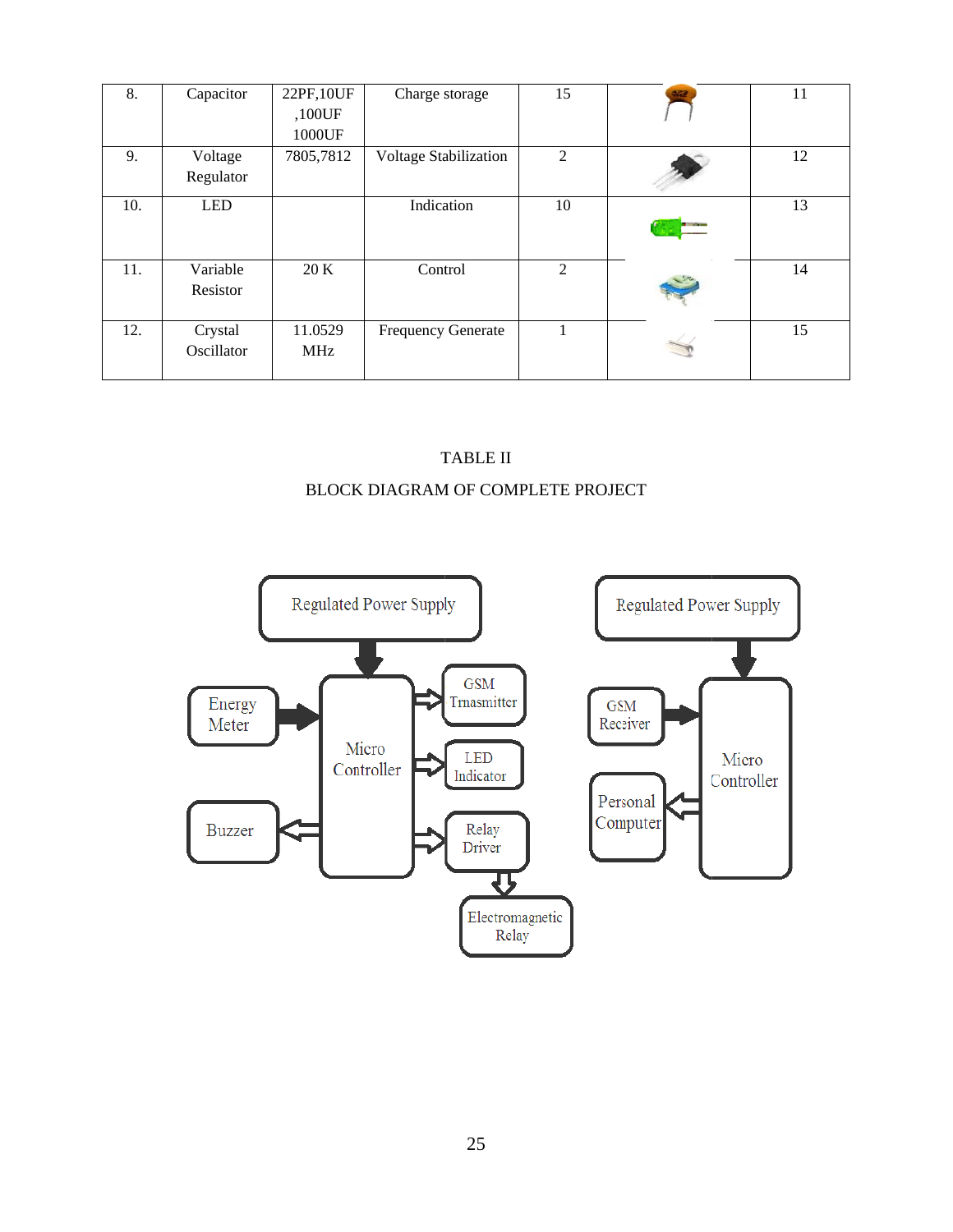| 8.  | Capacitor             | 22PF, 10UF<br>,100UF<br>1000UF | Charge storage               | 15 | 322 | 11 |
|-----|-----------------------|--------------------------------|------------------------------|----|-----|----|
| 9.  | Voltage<br>Regulator  | 7805,7812                      | <b>Voltage Stabilization</b> | 2  |     | 12 |
| 10. | <b>LED</b>            |                                | Indication                   | 10 |     | 13 |
| 11. | Variable<br>Resistor  | 20 K                           | Control                      | 2  |     | 14 |
| 12. | Crystal<br>Oscillator | 11.0529<br>MHz                 | <b>Frequency Generate</b>    |    |     | 15 |

# BLOCK DIAGRAM OF COMPLETE PROJECT T TABLE II

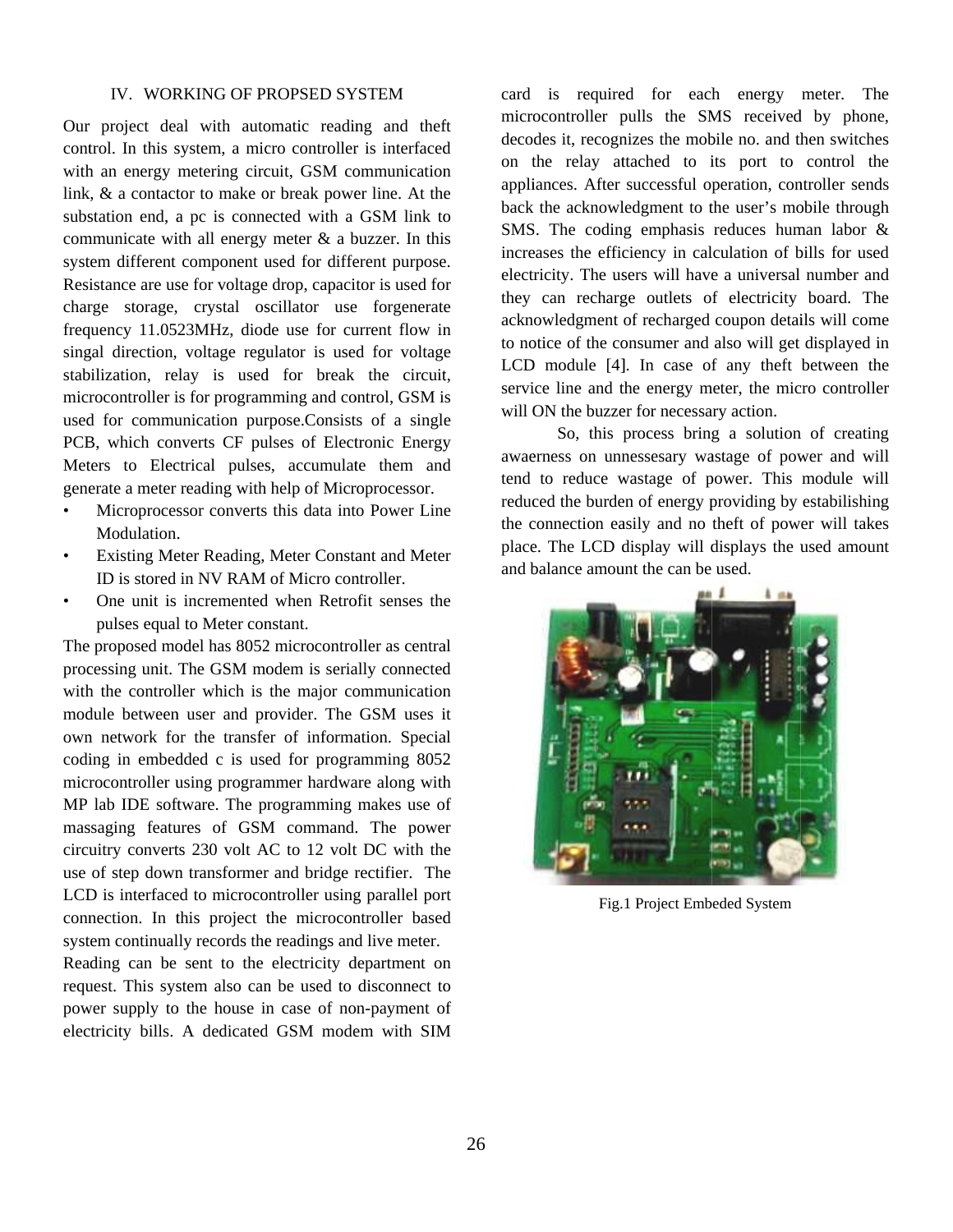### IV. WORKING OF PROPSED SYSTEM

Our project deal with automatic reading and theft control. In this system, a micro controller is interfaced with an energy metering circuit, GSM communication link,  $\&$  a contactor to make or break power line. At the substation end, a pc is connected with a GSM link to communicate with all energy meter  $\&$  a buzzer. In this system different component used for different purpose. Resistance are use for voltage drop, capacitor is used for charge storage, crystal oscillator use forgenerate frequency 11.0523MHz, diode use for current flow in singal direction, voltage regulator is used for voltage stabilization, relay is used for break the circuit, microcontroller is for programming and control, GSM is used for communication purpose.Consists of a single PCB, which converts CF pulses of Electronic Energy Meters to Electrical pulses, accumulate them and generate a meter reading with help of Microprocessor.

- Microprocessor converts this data into Power Line Modulation.
- Existing Meter Reading, Meter Constant and Meter  $\bullet$ ID is stored in NV RAM of Micro controller.
- One unit is incremented when Retrofit senses the  $\bullet$ pulses equal to Meter constant.

The proposed model has 8052 microcontroller as central processing unit. The GSM modem is serially connected with the controller which is the major communication module between user and provider. The GSM uses it own network for the transfer of information. Special coding in embedded c is used for programming 8052 microcontroller using programmer hardware along with MP lab IDE software. The programming makes use of massaging features of GSM command. The power circuitry converts 230 volt AC to 12 volt DC with the use of step down transformer and bridge rectifier. The LCD is interfaced to microcontroller using parallel port connection. In this project the microcontroller based system continually records the readings and live meter.

Reading can be sent to the electricity department on request. This system also can be used to disconnect to power supply to the house in case of non-payment of electricity bills. A dedicated GSM modem with SIM

card is required for each energy meter. The microcontroller pulls the SMS received by phone, decodes it, recognizes the mobile no. and then switches on the relay attached to its port to control the appliances. After successful operation, controller sends back the acknowledgment to the user's mobile through SMS. The coding emphasis reduces human labor  $\&$ increases the efficiency in calculation of bills for used electricity. The users will have a universal number and they can recharge outlets of electricity board. The acknowledgment of recharged coupon details will come to notice of the consumer and also will get displayed in LCD module [4]. In case of any theft between the service line and the energy meter, the micro controller will ON the buzzer for necessary action.

So, this process bring a solution of creating awaerness on unnessesary wastage of power and will tend to reduce wastage of power. This module will reduced the burden of energy providing by estabilishing the connection easily and no theft of power will takes place. The LCD display will displays the used amount and balance amount the can be used.



Fig.1 Project Embeded System